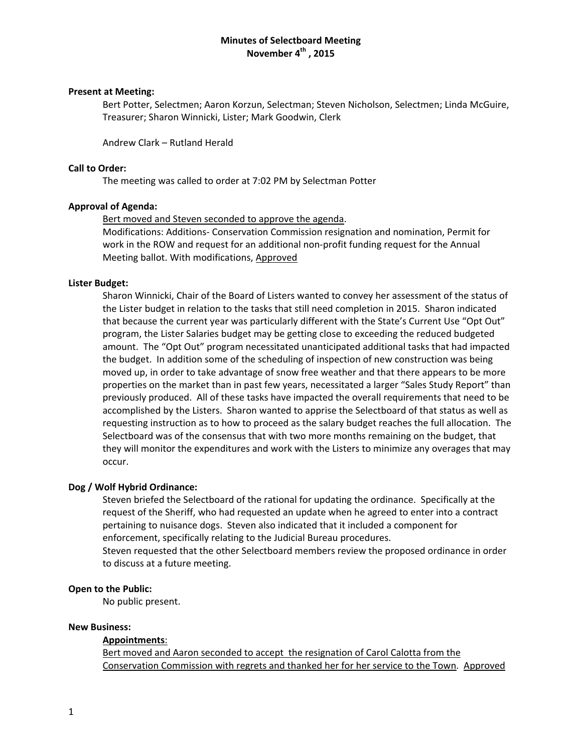# **Minutes of Selectboard Meeting November 4th , 2015**

# **Present at Meeting:**

Bert Potter, Selectmen; Aaron Korzun, Selectman; Steven Nicholson, Selectmen; Linda McGuire, Treasurer; Sharon Winnicki, Lister; Mark Goodwin, Clerk

Andrew Clark – Rutland Herald

# **Call to Order:**

The meeting was called to order at 7:02 PM by Selectman Potter

# **Approval of Agenda:**

Bert moved and Steven seconded to approve the agenda.

Modifications: Additions‐ Conservation Commission resignation and nomination, Permit for work in the ROW and request for an additional non‐profit funding request for the Annual Meeting ballot. With modifications, Approved

# **Lister Budget:**

Sharon Winnicki, Chair of the Board of Listers wanted to convey her assessment of the status of the Lister budget in relation to the tasks that still need completion in 2015. Sharon indicated that because the current year was particularly different with the State's Current Use "Opt Out" program, the Lister Salaries budget may be getting close to exceeding the reduced budgeted amount. The "Opt Out" program necessitated unanticipated additional tasks that had impacted the budget. In addition some of the scheduling of inspection of new construction was being moved up, in order to take advantage of snow free weather and that there appears to be more properties on the market than in past few years, necessitated a larger "Sales Study Report" than previously produced. All of these tasks have impacted the overall requirements that need to be accomplished by the Listers. Sharon wanted to apprise the Selectboard of that status as well as requesting instruction as to how to proceed as the salary budget reaches the full allocation. The Selectboard was of the consensus that with two more months remaining on the budget, that they will monitor the expenditures and work with the Listers to minimize any overages that may occur.

#### **Dog / Wolf Hybrid Ordinance:**

Steven briefed the Selectboard of the rational for updating the ordinance. Specifically at the request of the Sheriff, who had requested an update when he agreed to enter into a contract pertaining to nuisance dogs. Steven also indicated that it included a component for enforcement, specifically relating to the Judicial Bureau procedures. Steven requested that the other Selectboard members review the proposed ordinance in order to discuss at a future meeting.

#### **Open to the Public:**

No public present.

#### **New Business:**

#### **Appointments**:

Bert moved and Aaron seconded to accept the resignation of Carol Calotta from the Conservation Commission with regrets and thanked her for her service to the Town. Approved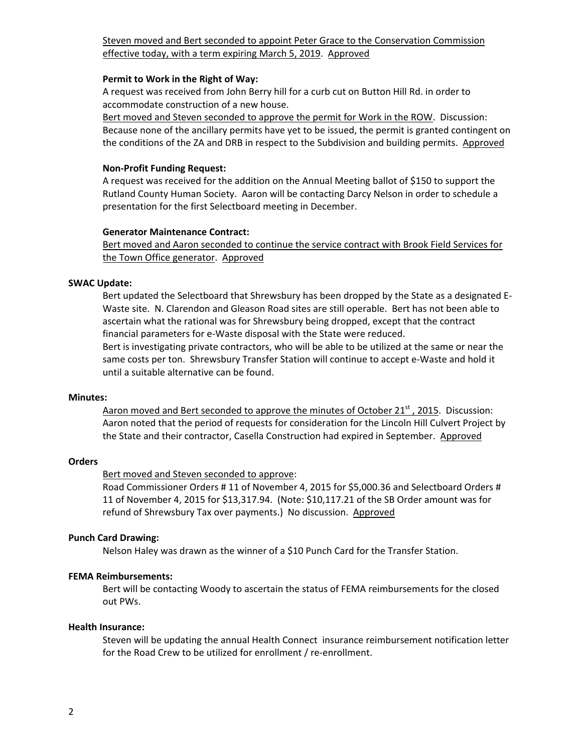# Steven moved and Bert seconded to appoint Peter Grace to the Conservation Commission effective today, with a term expiring March 5, 2019. Approved

#### **Permit to Work in the Right of Way:**

A request was received from John Berry hill for a curb cut on Button Hill Rd. in order to accommodate construction of a new house.

Bert moved and Steven seconded to approve the permit for Work in the ROW. Discussion: Because none of the ancillary permits have yet to be issued, the permit is granted contingent on the conditions of the ZA and DRB in respect to the Subdivision and building permits. Approved

# **Non‐Profit Funding Request:**

A request was received for the addition on the Annual Meeting ballot of \$150 to support the Rutland County Human Society. Aaron will be contacting Darcy Nelson in order to schedule a presentation for the first Selectboard meeting in December.

# **Generator Maintenance Contract:**

Bert moved and Aaron seconded to continue the service contract with Brook Field Services for the Town Office generator. Approved

# **SWAC Update:**

Bert updated the Selectboard that Shrewsbury has been dropped by the State as a designated E‐ Waste site. N. Clarendon and Gleason Road sites are still operable. Bert has not been able to ascertain what the rational was for Shrewsbury being dropped, except that the contract financial parameters for e‐Waste disposal with the State were reduced.

Bert is investigating private contractors, who will be able to be utilized at the same or near the same costs per ton. Shrewsbury Transfer Station will continue to accept e‐Waste and hold it until a suitable alternative can be found.

#### **Minutes:**

Aaron moved and Bert seconded to approve the minutes of October  $21<sup>st</sup>$ , 2015. Discussion: Aaron noted that the period of requests for consideration for the Lincoln Hill Culvert Project by the State and their contractor, Casella Construction had expired in September. Approved

# **Orders**

# Bert moved and Steven seconded to approve:

Road Commissioner Orders # 11 of November 4, 2015 for \$5,000.36 and Selectboard Orders # 11 of November 4, 2015 for \$13,317.94. (Note: \$10,117.21 of the SB Order amount was for refund of Shrewsbury Tax over payments.) No discussion. Approved

# **Punch Card Drawing:**

Nelson Haley was drawn as the winner of a \$10 Punch Card for the Transfer Station.

# **FEMA Reimbursements:**

Bert will be contacting Woody to ascertain the status of FEMA reimbursements for the closed out PWs.

#### **Health Insurance:**

Steven will be updating the annual Health Connect insurance reimbursement notification letter for the Road Crew to be utilized for enrollment / re-enrollment.